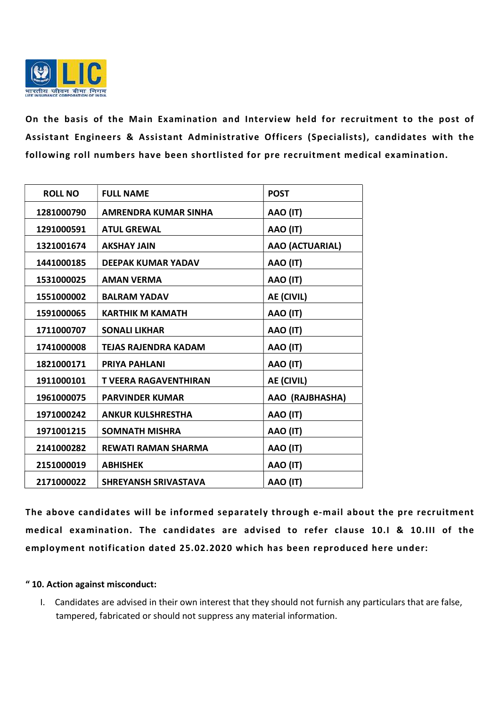

On the basis of the Main Examination and Interview held for recruitment to the post of Assistant Engineers & Assistant Administrative Officers (Specialists), candidates with the following roll numbers have been shortlisted for pre recruitment medical examination.

| <b>ROLL NO</b> | <b>FULL NAME</b>             | <b>POST</b>       |
|----------------|------------------------------|-------------------|
| 1281000790     | AMRENDRA KUMAR SINHA         | AAO (IT)          |
| 1291000591     | <b>ATUL GREWAL</b>           | AAO (IT)          |
| 1321001674     | <b>AKSHAY JAIN</b>           | AAO (ACTUARIAL)   |
| 1441000185     | <b>DEEPAK KUMAR YADAV</b>    | AAO (IT)          |
| 1531000025     | <b>AMAN VERMA</b>            | AAO (IT)          |
| 1551000002     | <b>BALRAM YADAV</b>          | <b>AE (CIVIL)</b> |
| 1591000065     | <b>KARTHIK M KAMATH</b>      | AAO (IT)          |
| 1711000707     | <b>SONALI LIKHAR</b>         | AAO (IT)          |
| 1741000008     | <b>TEJAS RAJENDRA KADAM</b>  | AAO (IT)          |
| 1821000171     | <b>PRIYA PAHLANI</b>         | AAO (IT)          |
| 1911000101     | <b>T VEERA RAGAVENTHIRAN</b> | AE (CIVIL)        |
| 1961000075     | <b>PARVINDER KUMAR</b>       | AAO (RAJBHASHA)   |
| 1971000242     | <b>ANKUR KULSHRESTHA</b>     | AAO (IT)          |
| 1971001215     | <b>SOMNATH MISHRA</b>        | AAO (IT)          |
| 2141000282     | <b>REWATI RAMAN SHARMA</b>   | AAO (IT)          |
| 2151000019     | <b>ABHISHEK</b>              | AAO (IT)          |
| 2171000022     | <b>SHREYANSH SRIVASTAVA</b>  | AAO (IT)          |

The above candidates will be informed separately through e-mail about the pre recruitment medical examination. The candidates are advised to refer clause 10.I & 10.III of the employment notification dated 25.02.2020 which has been reproduced here under:

## " 10. Action against misconduct:

I. Candidates are advised in their own interest that they should not furnish any particulars that are false, tampered, fabricated or should not suppress any material information.